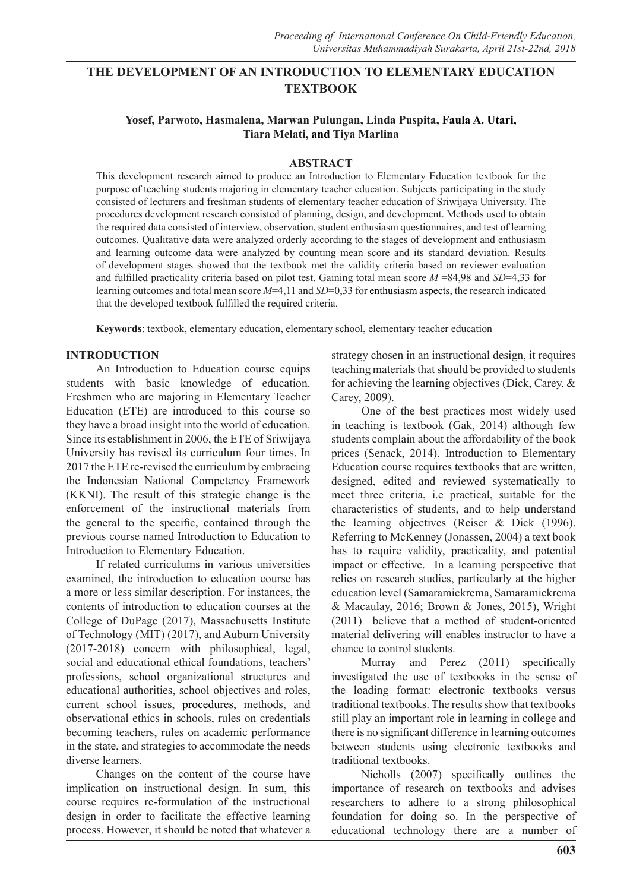# **THE DEVELOPMENT OF AN INTRODUCTION TO ELEMENTARY EDUCATION TEXTBOOK**

## **Yosef, Parwoto, Hasmalena, Marwan Pulungan, Linda Puspita, Faula A. Utari, Tiara Melati, and Tiya Marlina**

#### **ABSTRACT**

This development research aimed to produce an Introduction to Elementary Education textbook for the purpose of teaching students majoring in elementary teacher education. Subjects participating in the study consisted of lecturers and freshman students of elementary teacher education of Sriwijaya University. The procedures development research consisted of planning, design, and development. Methods used to obtain the required data consisted of interview, observation, student enthusiasm questionnaires, and test of learning outcomes. Qualitative data were analyzed orderly according to the stages of development and enthusiasm and learning outcome data were analyzed by counting mean score and its standard deviation. Results of development stages showed that the textbook met the validity criteria based on reviewer evaluation and fulfilled practicality criteria based on pilot test. Gaining total mean score *M* =84,98 and *SD*=4,33 for learning outcomes and total mean score *M*=4,11 and *SD*=0,33 for enthusiasm aspects, the research indicated that the developed textbook fulfilled the required criteria.

**Keywords**: textbook, elementary education, elementary school, elementary teacher education

#### **INTRODUCTION**

An Introduction to Education course equips students with basic knowledge of education. Freshmen who are majoring in Elementary Teacher Education (ETE) are introduced to this course so they have a broad insight into the world of education. Since its establishment in 2006, the ETE of Sriwijaya University has revised its curriculum four times. In 2017 the ETE re-revised the curriculum by embracing the Indonesian National Competency Framework (KKNI). The result of this strategic change is the enforcement of the instructional materials from the general to the specific, contained through the previous course named Introduction to Education to Introduction to Elementary Education.

If related curriculums in various universities examined, the introduction to education course has a more or less similar description. For instances, the contents of introduction to education courses at the College of DuPage (2017), Massachusetts Institute of Technology (MIT) (2017), and Auburn University (2017-2018) concern with philosophical, legal, social and educational ethical foundations, teachers' professions, school organizational structures and educational authorities, school objectives and roles, current school issues, procedures, methods, and observational ethics in schools, rules on credentials becoming teachers, rules on academic performance in the state, and strategies to accommodate the needs diverse learners.

Changes on the content of the course have implication on instructional design. In sum, this course requires re-formulation of the instructional design in order to facilitate the effective learning process. However, it should be noted that whatever a

strategy chosen in an instructional design, it requires teaching materials that should be provided to students for achieving the learning objectives (Dick, Carey, & Carey, 2009).

One of the best practices most widely used in teaching is textbook (Gak, 2014) although few students complain about the affordability of the book prices (Senack, 2014). Introduction to Elementary Education course requires textbooks that are written, designed, edited and reviewed systematically to meet three criteria, i.e practical, suitable for the characteristics of students, and to help understand the learning objectives (Reiser & Dick (1996). Referring to McKenney (Jonassen, 2004) a text book has to require validity, practicality, and potential impact or effective. In a learning perspective that relies on research studies, particularly at the higher education level (Samaramickrema, Samaramickrema & Macaulay, 2016; Brown & Jones, 2015), Wright (2011) believe that a method of student-oriented material delivering will enables instructor to have a chance to control students.

Murray and Perez (2011) specifically investigated the use of textbooks in the sense of the loading format: electronic textbooks versus traditional textbooks. The results show that textbooks still play an important role in learning in college and there is no significant difference in learning outcomes between students using electronic textbooks and traditional textbooks.

Nicholls (2007) specifically outlines the importance of research on textbooks and advises researchers to adhere to a strong philosophical foundation for doing so. In the perspective of educational technology there are a number of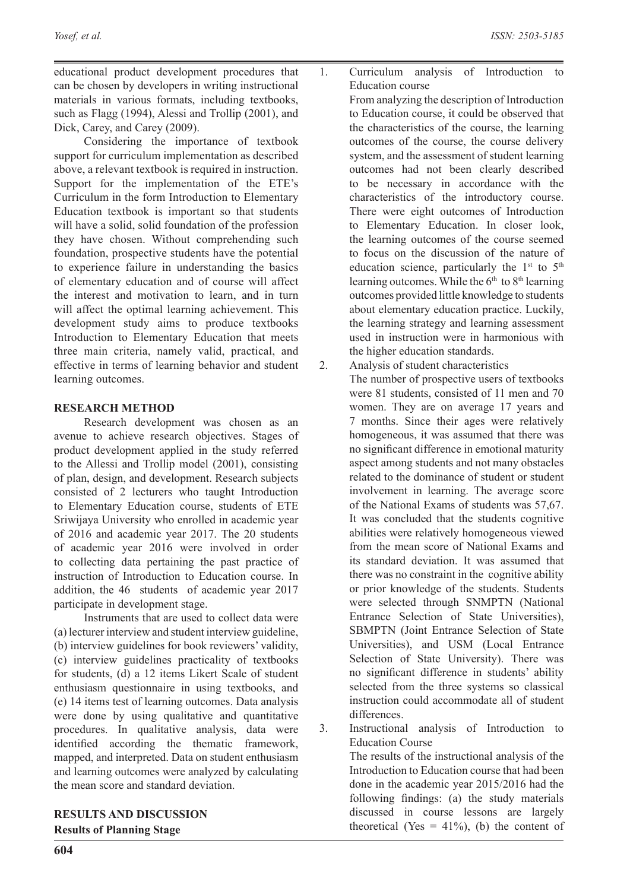educational product development procedures that can be chosen by developers in writing instructional materials in various formats, including textbooks, such as Flagg (1994), Alessi and Trollip (2001), and Dick, Carey, and Carey (2009).

Considering the importance of textbook support for curriculum implementation as described above, a relevant textbook is required in instruction. Support for the implementation of the ETE's Curriculum in the form Introduction to Elementary Education textbook is important so that students will have a solid, solid foundation of the profession they have chosen. Without comprehending such foundation, prospective students have the potential to experience failure in understanding the basics of elementary education and of course will affect the interest and motivation to learn, and in turn will affect the optimal learning achievement. This development study aims to produce textbooks Introduction to Elementary Education that meets three main criteria, namely valid, practical, and effective in terms of learning behavior and student learning outcomes.

## **RESEARCH METHOD**

Research development was chosen as an avenue to achieve research objectives. Stages of product development applied in the study referred to the Allessi and Trollip model (2001), consisting of plan, design, and development. Research subjects consisted of 2 lecturers who taught Introduction to Elementary Education course, students of ETE Sriwijaya University who enrolled in academic year of 2016 and academic year 2017. The 20 students of academic year 2016 were involved in order to collecting data pertaining the past practice of instruction of Introduction to Education course. In addition, the 46 students of academic year 2017 participate in development stage.

Instruments that are used to collect data were (a) lecturer interview and student interview guideline, (b) interview guidelines for book reviewers' validity, (c) interview guidelines practicality of textbooks for students, (d) a 12 items Likert Scale of student enthusiasm questionnaire in using textbooks, and (e) 14 items test of learning outcomes. Data analysis were done by using qualitative and quantitative procedures. In qualitative analysis, data were identified according the thematic framework, mapped, and interpreted. Data on student enthusiasm and learning outcomes were analyzed by calculating the mean score and standard deviation.

**RESULTS AND DISCUSSION Results of Planning Stage**

1. Curriculum analysis of Introduction to Education course

From analyzing the description of Introduction to Education course, it could be observed that the characteristics of the course, the learning outcomes of the course, the course delivery system, and the assessment of student learning outcomes had not been clearly described to be necessary in accordance with the characteristics of the introductory course. There were eight outcomes of Introduction to Elementary Education. In closer look, the learning outcomes of the course seemed to focus on the discussion of the nature of education science, particularly the  $1<sup>st</sup>$  to  $5<sup>th</sup>$ learning outcomes. While the  $6<sup>th</sup>$  to  $8<sup>th</sup>$  learning outcomes provided little knowledge to students about elementary education practice. Luckily, the learning strategy and learning assessment used in instruction were in harmonious with the higher education standards.

- 2. Analysis of student characteristics The number of prospective users of textbooks were 81 students, consisted of 11 men and 70 women. They are on average 17 years and 7 months. Since their ages were relatively homogeneous, it was assumed that there was no significant difference in emotional maturity aspect among students and not many obstacles related to the dominance of student or student involvement in learning. The average score of the National Exams of students was 57,67. It was concluded that the students cognitive abilities were relatively homogeneous viewed from the mean score of National Exams and its standard deviation. It was assumed that there was no constraint in the cognitive ability or prior knowledge of the students. Students were selected through SNMPTN (National Entrance Selection of State Universities), SBMPTN (Joint Entrance Selection of State Universities), and USM (Local Entrance Selection of State University). There was no significant difference in students' ability selected from the three systems so classical instruction could accommodate all of student differences.
- 3. Instructional analysis of Introduction to Education Course

The results of the instructional analysis of the Introduction to Education course that had been done in the academic year 2015/2016 had the following findings: (a) the study materials discussed in course lessons are largely theoretical (Yes =  $41\%$ ), (b) the content of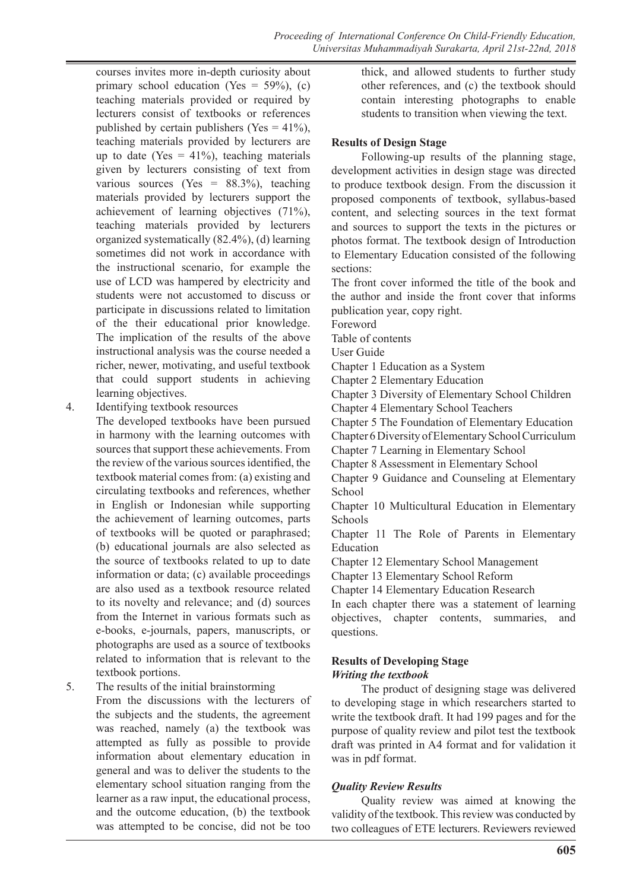courses invites more in-depth curiosity about primary school education (Yes =  $59\%$ ), (c) teaching materials provided or required by lecturers consist of textbooks or references published by certain publishers (Yes  $= 41\%$ ), teaching materials provided by lecturers are up to date (Yes  $= 41\%$ ), teaching materials given by lecturers consisting of text from various sources (Yes =  $88.3\%$ ), teaching materials provided by lecturers support the achievement of learning objectives (71%), teaching materials provided by lecturers organized systematically (82.4%), (d) learning sometimes did not work in accordance with the instructional scenario, for example the use of LCD was hampered by electricity and students were not accustomed to discuss or participate in discussions related to limitation of the their educational prior knowledge. The implication of the results of the above instructional analysis was the course needed a richer, newer, motivating, and useful textbook that could support students in achieving learning objectives.

4. Identifying textbook resources

The developed textbooks have been pursued in harmony with the learning outcomes with sources that support these achievements. From the review of the various sources identified, the textbook material comes from: (a) existing and circulating textbooks and references, whether in English or Indonesian while supporting the achievement of learning outcomes, parts of textbooks will be quoted or paraphrased; (b) educational journals are also selected as the source of textbooks related to up to date information or data; (c) available proceedings are also used as a textbook resource related to its novelty and relevance; and (d) sources from the Internet in various formats such as e-books, e-journals, papers, manuscripts, or photographs are used as a source of textbooks related to information that is relevant to the textbook portions.

5. The results of the initial brainstorming

From the discussions with the lecturers of the subjects and the students, the agreement was reached, namely (a) the textbook was attempted as fully as possible to provide information about elementary education in general and was to deliver the students to the elementary school situation ranging from the learner as a raw input, the educational process, and the outcome education, (b) the textbook was attempted to be concise, did not be too

thick, and allowed students to further study other references, and (c) the textbook should contain interesting photographs to enable students to transition when viewing the text.

## **Results of Design Stage**

Following-up results of the planning stage, development activities in design stage was directed to produce textbook design. From the discussion it proposed components of textbook, syllabus-based content, and selecting sources in the text format and sources to support the texts in the pictures or photos format. The textbook design of Introduction to Elementary Education consisted of the following sections:

The front cover informed the title of the book and the author and inside the front cover that informs publication year, copy right.

Foreword

Table of contents

User Guide

Chapter 1 Education as a System

Chapter 2 Elementary Education

Chapter 3 Diversity of Elementary School Children Chapter 4 Elementary School Teachers

Chapter 5 The Foundation of Elementary Education

Chapter 6 Diversity of Elementary School Curriculum

Chapter 7 Learning in Elementary School

Chapter 8 Assessment in Elementary School

Chapter 9 Guidance and Counseling at Elementary School

Chapter 10 Multicultural Education in Elementary **Schools** 

Chapter 11 The Role of Parents in Elementary Education

Chapter 12 Elementary School Management

Chapter 13 Elementary School Reform

Chapter 14 Elementary Education Research

In each chapter there was a statement of learning objectives, chapter contents, summaries, and questions.

## **Results of Developing Stage** *Writing the textbook*

The product of designing stage was delivered to developing stage in which researchers started to write the textbook draft. It had 199 pages and for the purpose of quality review and pilot test the textbook draft was printed in A4 format and for validation it was in pdf format.

## *Quality Review Results*

Quality review was aimed at knowing the validity of the textbook. This review was conducted by two colleagues of ETE lecturers. Reviewers reviewed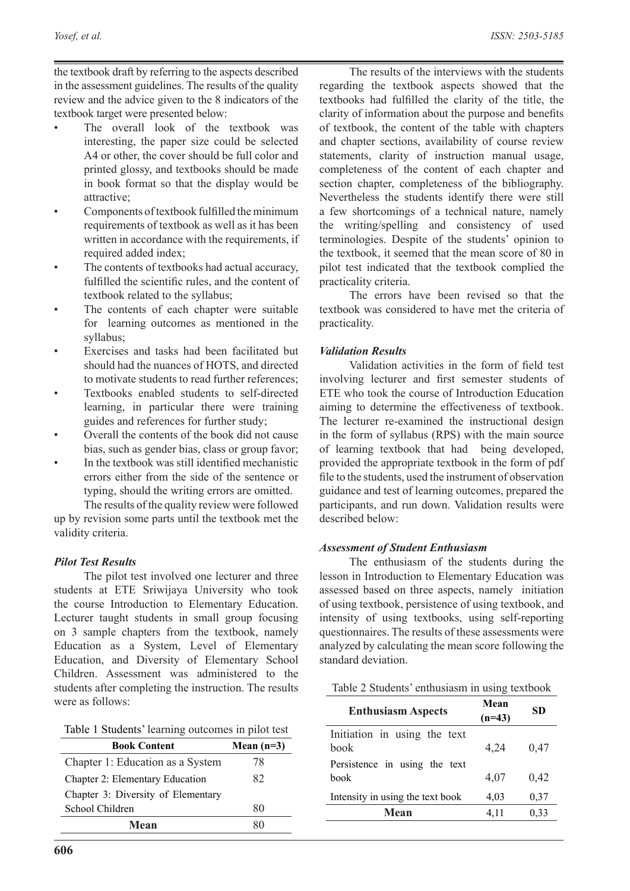the textbook draft by referring to the aspects described in the assessment guidelines. The results of the quality review and the advice given to the 8 indicators of the textbook target were presented below:

- The overall look of the textbook was interesting, the paper size could be selected A4 or other, the cover should be full color and printed glossy, and textbooks should be made in book format so that the display would be attractive;
- Components of textbook fulfilled the minimum requirements of textbook as well as it has been written in accordance with the requirements, if required added index;
- The contents of textbooks had actual accuracy, fulfilled the scientific rules, and the content of textbook related to the syllabus;
- The contents of each chapter were suitable for learning outcomes as mentioned in the syllabus;
- Exercises and tasks had been facilitated but should had the nuances of HOTS, and directed to motivate students to read further references;
- Textbooks enabled students to self-directed learning, in particular there were training guides and references for further study;
- Overall the contents of the book did not cause bias, such as gender bias, class or group favor;
- In the textbook was still identified mechanistic errors either from the side of the sentence or typing, should the writing errors are omitted.

The results of the quality review were followed up by revision some parts until the textbook met the validity criteria.

#### *Pilot Test Results*

The pilot test involved one lecturer and three students at ETE Sriwijaya University who took the course Introduction to Elementary Education. Lecturer taught students in small group focusing on 3 sample chapters from the textbook, namely Education as a System, Level of Elementary Education, and Diversity of Elementary School Children. Assessment was administered to the students after completing the instruction. The results were as follows:

|  |  |  | Table 1 Students' learning outcomes in pilot test |  |  |  |
|--|--|--|---------------------------------------------------|--|--|--|
|--|--|--|---------------------------------------------------|--|--|--|

| <b>Book Content</b>                | Mean $(n=3)$ |  |
|------------------------------------|--------------|--|
| Chapter 1: Education as a System   | 78           |  |
| Chapter 2: Elementary Education    | 82           |  |
| Chapter 3: Diversity of Elementary |              |  |
| School Children                    | 80           |  |
| Mean                               |              |  |

The results of the interviews with the students regarding the textbook aspects showed that the textbooks had fulfilled the clarity of the title, the clarity of information about the purpose and benefits of textbook, the content of the table with chapters and chapter sections, availability of course review statements, clarity of instruction manual usage, completeness of the content of each chapter and section chapter, completeness of the bibliography. Nevertheless the students identify there were still a few shortcomings of a technical nature, namely the writing/spelling and consistency of used terminologies. Despite of the students' opinion to the textbook, it seemed that the mean score of 80 in pilot test indicated that the textbook complied the practicality criteria.

The errors have been revised so that the textbook was considered to have met the criteria of practicality.

#### *Validation Results*

Validation activities in the form of field test involving lecturer and first semester students of ETE who took the course of Introduction Education aiming to determine the effectiveness of textbook. The lecturer re-examined the instructional design in the form of syllabus (RPS) with the main source of learning textbook that had being developed, provided the appropriate textbook in the form of pdf file to the students, used the instrument of observation guidance and test of learning outcomes, prepared the participants, and run down. Validation results were described below:

#### *Assessment of Student Enthusiasm*

The enthusiasm of the students during the lesson in Introduction to Elementary Education was assessed based on three aspects, namely initiation of using textbook, persistence of using textbook, and intensity of using textbooks, using self-reporting questionnaires. The results of these assessments were analyzed by calculating the mean score following the standard deviation.

Table 2 Students' enthusiasm in using textbook

| <b>Enthusiasm Aspects</b>                    | Mean<br>$(n=43)$ | SD   |
|----------------------------------------------|------------------|------|
| Initiation in using the text<br>book         | 4,24             | 0,47 |
| Persistence in using the text<br><b>book</b> | 4,07             | 0,42 |
| Intensity in using the text book             | 4,03             | 0,37 |
| Mean                                         | 4,11             | 0,33 |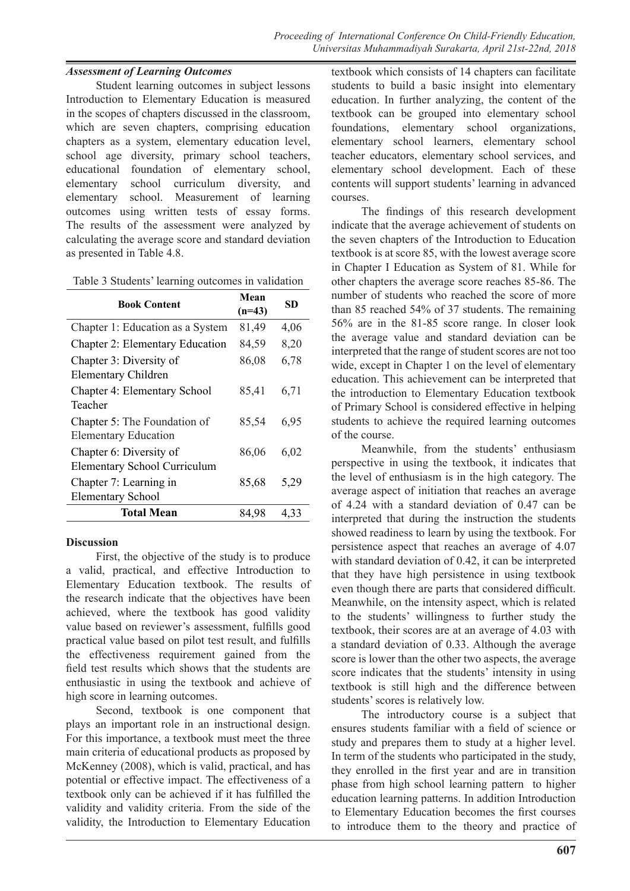## *Assessment of Learning Outcomes*

Student learning outcomes in subject lessons Introduction to Elementary Education is measured in the scopes of chapters discussed in the classroom, which are seven chapters, comprising education chapters as a system, elementary education level, school age diversity, primary school teachers, educational foundation of elementary school, elementary school curriculum diversity, and elementary school. Measurement of learning outcomes using written tests of essay forms. The results of the assessment were analyzed by calculating the average score and standard deviation as presented in Table 4.8.

| <b>Book Content</b>                                            | Mean     | SD   |  |
|----------------------------------------------------------------|----------|------|--|
|                                                                | $(n=43)$ |      |  |
| Chapter 1: Education as a System                               | 81,49    | 4,06 |  |
| <b>Chapter 2: Elementary Education</b>                         | 84,59    | 8,20 |  |
| Chapter 3: Diversity of<br><b>Elementary Children</b>          | 86,08    | 6,78 |  |
| <b>Chapter 4: Elementary School</b><br>Teacher                 | 85,41    | 6,71 |  |
| Chapter 5: The Foundation of<br><b>Elementary Education</b>    | 85,54    | 6,95 |  |
| Chapter 6: Diversity of<br><b>Elementary School Curriculum</b> | 86,06    | 6,02 |  |
| Chapter 7: Learning in<br><b>Elementary School</b>             | 85,68    | 5,29 |  |
| Total Mean                                                     | 84.98    | 4.33 |  |

#### **Discussion**

First, the objective of the study is to produce a valid, practical, and effective Introduction to Elementary Education textbook. The results of the research indicate that the objectives have been achieved, where the textbook has good validity value based on reviewer's assessment, fulfills good practical value based on pilot test result, and fulfills the effectiveness requirement gained from the field test results which shows that the students are enthusiastic in using the textbook and achieve of high score in learning outcomes.

Second, textbook is one component that plays an important role in an instructional design. For this importance, a textbook must meet the three main criteria of educational products as proposed by McKenney (2008), which is valid, practical, and has potential or effective impact. The effectiveness of a textbook only can be achieved if it has fulfilled the validity and validity criteria. From the side of the validity, the Introduction to Elementary Education

textbook which consists of 14 chapters can facilitate students to build a basic insight into elementary education. In further analyzing, the content of the textbook can be grouped into elementary school foundations, elementary school organizations, elementary school learners, elementary school teacher educators, elementary school services, and elementary school development. Each of these contents will support students' learning in advanced courses.

The findings of this research development indicate that the average achievement of students on the seven chapters of the Introduction to Education textbook is at score 85, with the lowest average score in Chapter I Education as System of 81. While for other chapters the average score reaches 85-86. The number of students who reached the score of more than 85 reached 54% of 37 students. The remaining 56% are in the 81-85 score range. In closer look the average value and standard deviation can be interpreted that the range of student scores are not too wide, except in Chapter 1 on the level of elementary education. This achievement can be interpreted that the introduction to Elementary Education textbook of Primary School is considered effective in helping students to achieve the required learning outcomes of the course.

Meanwhile, from the students' enthusiasm perspective in using the textbook, it indicates that the level of enthusiasm is in the high category. The average aspect of initiation that reaches an average of 4.24 with a standard deviation of 0.47 can be interpreted that during the instruction the students showed readiness to learn by using the textbook. For persistence aspect that reaches an average of 4.07 with standard deviation of 0.42, it can be interpreted that they have high persistence in using textbook even though there are parts that considered difficult. Meanwhile, on the intensity aspect, which is related to the students' willingness to further study the textbook, their scores are at an average of 4.03 with a standard deviation of 0.33. Although the average score is lower than the other two aspects, the average score indicates that the students' intensity in using textbook is still high and the difference between students' scores is relatively low.

The introductory course is a subject that ensures students familiar with a field of science or study and prepares them to study at a higher level. In term of the students who participated in the study, they enrolled in the first year and are in transition phase from high school learning pattern to higher education learning patterns. In addition Introduction to Elementary Education becomes the first courses to introduce them to the theory and practice of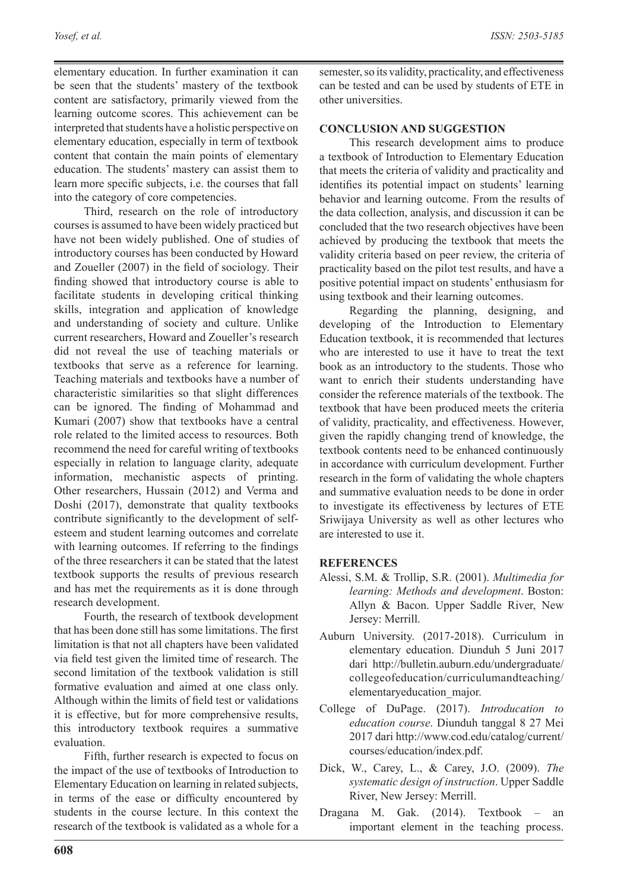elementary education. In further examination it can be seen that the students' mastery of the textbook content are satisfactory, primarily viewed from the learning outcome scores. This achievement can be interpreted that students have a holistic perspective on elementary education, especially in term of textbook content that contain the main points of elementary education. The students' mastery can assist them to learn more specific subjects, i.e. the courses that fall into the category of core competencies.

Third, research on the role of introductory courses is assumed to have been widely practiced but have not been widely published. One of studies of introductory courses has been conducted by Howard and Zoueller (2007) in the field of sociology. Their finding showed that introductory course is able to facilitate students in developing critical thinking skills, integration and application of knowledge and understanding of society and culture. Unlike current researchers, Howard and Zoueller's research did not reveal the use of teaching materials or textbooks that serve as a reference for learning. Teaching materials and textbooks have a number of characteristic similarities so that slight differences can be ignored. The finding of Mohammad and Kumari (2007) show that textbooks have a central role related to the limited access to resources. Both recommend the need for careful writing of textbooks especially in relation to language clarity, adequate information, mechanistic aspects of printing. Other researchers, Hussain (2012) and Verma and Doshi (2017), demonstrate that quality textbooks contribute significantly to the development of selfesteem and student learning outcomes and correlate with learning outcomes. If referring to the findings of the three researchers it can be stated that the latest textbook supports the results of previous research and has met the requirements as it is done through research development.

Fourth, the research of textbook development that has been done still has some limitations. The first limitation is that not all chapters have been validated via field test given the limited time of research. The second limitation of the textbook validation is still formative evaluation and aimed at one class only. Although within the limits of field test or validations it is effective, but for more comprehensive results, this introductory textbook requires a summative evaluation.

Fifth, further research is expected to focus on the impact of the use of textbooks of Introduction to Elementary Education on learning in related subjects, in terms of the ease or difficulty encountered by students in the course lecture. In this context the research of the textbook is validated as a whole for a

semester, so its validity, practicality, and effectiveness can be tested and can be used by students of ETE in other universities.

## **CONCLUSION AND SUGGESTION**

This research development aims to produce a textbook of Introduction to Elementary Education that meets the criteria of validity and practicality and identifies its potential impact on students' learning behavior and learning outcome. From the results of the data collection, analysis, and discussion it can be concluded that the two research objectives have been achieved by producing the textbook that meets the validity criteria based on peer review, the criteria of practicality based on the pilot test results, and have a positive potential impact on students' enthusiasm for using textbook and their learning outcomes.

Regarding the planning, designing, and developing of the Introduction to Elementary Education textbook, it is recommended that lectures who are interested to use it have to treat the text book as an introductory to the students. Those who want to enrich their students understanding have consider the reference materials of the textbook. The textbook that have been produced meets the criteria of validity, practicality, and effectiveness. However, given the rapidly changing trend of knowledge, the textbook contents need to be enhanced continuously in accordance with curriculum development. Further research in the form of validating the whole chapters and summative evaluation needs to be done in order to investigate its effectiveness by lectures of ETE Sriwijaya University as well as other lectures who are interested to use it.

#### **REFERENCES**

- Alessi, S.M. & Trollip, S.R. (2001). *Multimedia for learning: Methods and development*. Boston: Allyn & Bacon. Upper Saddle River, New Jersey: Merrill.
- Auburn University. (2017-2018). Curriculum in elementary education. Diunduh 5 Juni 2017 dari http://bulletin.auburn.edu/undergraduate/ collegeofeducation/curriculumandteaching/ elementaryeducation\_major.
- College of DuPage. (2017). *Introducation to education course*. Diunduh tanggal 8 27 Mei 2017 dari http://www.cod.edu/catalog/current/ courses/education/index.pdf.
- Dick, W., Carey, L., & Carey, J.O. (2009). *The systematic design of instruction*. Upper Saddle River, New Jersey: Merrill.
- Dragana M. Gak. (2014). Textbook an important element in the teaching process.